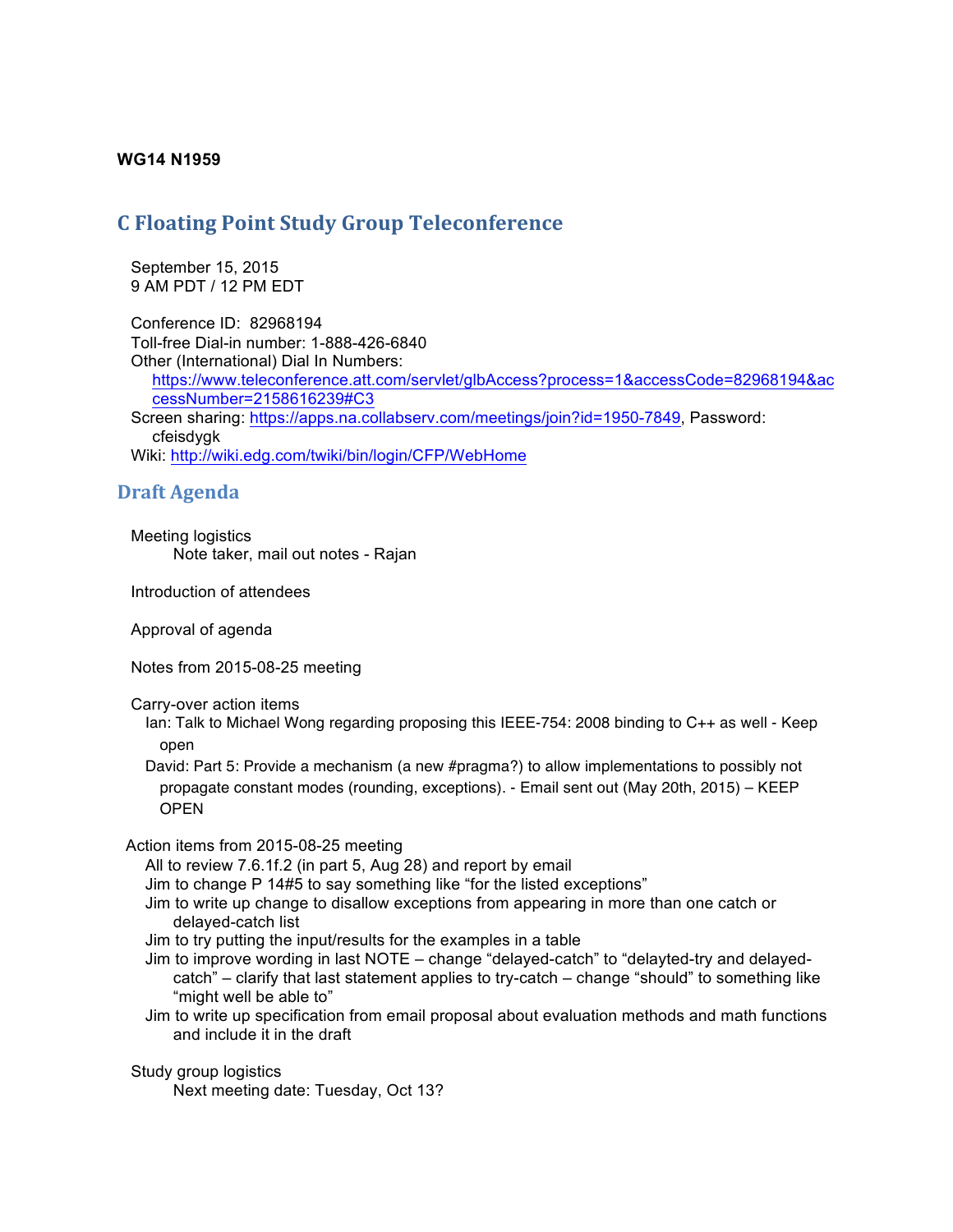## **WG14 N1959**

## **C** Floating Point Study Group Teleconference

 September 15, 2015 9 AM PDT / 12 PM EDT

 Conference ID: 82968194 Toll-free Dial-in number: 1-888-426-6840 Other (International) Dial In Numbers: https://www.teleconference.att.com/servlet/glbAccess?process=1&accessCode=82968194&ac cessNumber=2158616239#C3 Screen sharing: https://apps.na.collabserv.com/meetings/join?id=1950-7849, Password: cfeisdygk Wiki: http://wiki.edg.com/twiki/bin/login/CFP/WebHome

## **Draft Agenda**

 Meeting logistics Note taker, mail out notes - Rajan

Introduction of attendees

Approval of agenda

Notes from 2015-08-25 meeting

Carry-over action items

Ian: Talk to Michael Wong regarding proposing this IEEE-754: 2008 binding to C++ as well - Keep open

David: Part 5: Provide a mechanism (a new #pragma?) to allow implementations to possibly not propagate constant modes (rounding, exceptions). - Email sent out (May 20th, 2015) – KEEP **OPEN** 

Action items from 2015-08-25 meeting

All to review 7.6.1f.2 (in part 5, Aug 28) and report by email

Jim to change P 14#5 to say something like "for the listed exceptions"

- Jim to write up change to disallow exceptions from appearing in more than one catch or delayed-catch list
- Jim to try putting the input/results for the examples in a table
- Jim to improve wording in last NOTE change "delayed-catch" to "delayted-try and delayedcatch" – clarify that last statement applies to try-catch – change "should" to something like "might well be able to"
- Jim to write up specification from email proposal about evaluation methods and math functions and include it in the draft

 Study group logistics Next meeting date: Tuesday, Oct 13?